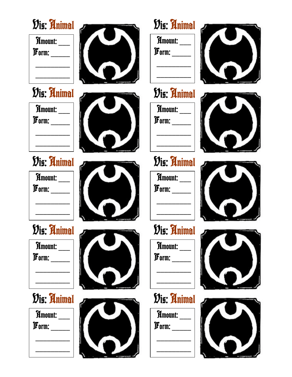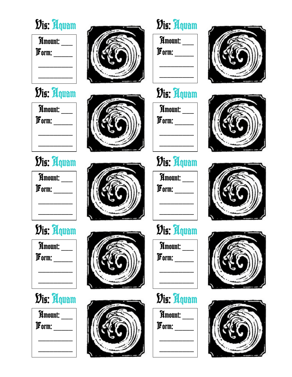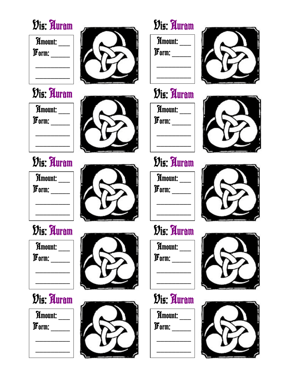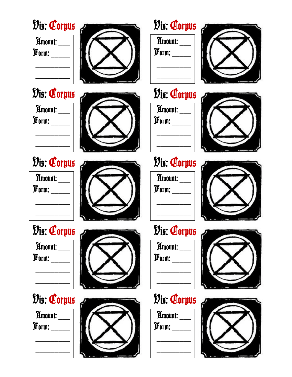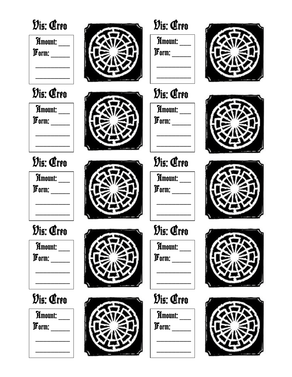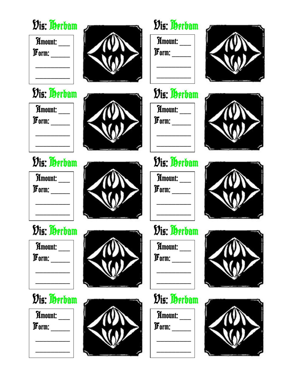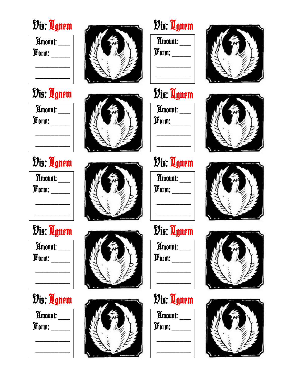### Dis: Ugnem



#### Dis: Ugnem

| Amount:<br>Form: |  |
|------------------|--|
|                  |  |

## Dis: Ugnem

| Amount: |  |
|---------|--|
| Form:   |  |
|         |  |
|         |  |

### Dis: Ugnem

Amount: \_\_\_ Form:

### Dis: Ugnem

Amount:  $\bm{\mathcal{F}}$ orm: \_\_\_\_\_







# Dis: Ugnem

Amount: \_\_\_  $\bm{\mathcal{F}}$ orm: \_\_\_\_\_



Amount: \_\_\_  $\bm{\mathit{F}}$ orm: \_\_\_\_\_



Amount: \_\_\_  $\bm{\mathcal{F}}$ orm: \_\_\_\_\_

# Dis: Ugnem

Amount: \_\_\_  $\bm{\mathcal{F}}$ orm: \_\_\_\_\_



Amount:  $\bm{\mathcal{F}}$ orm: \_\_\_\_\_









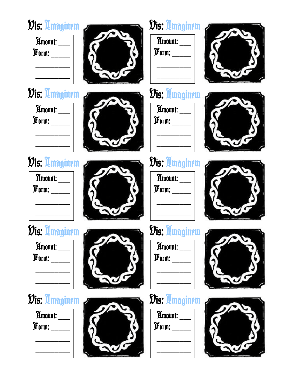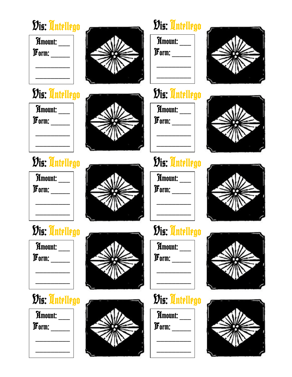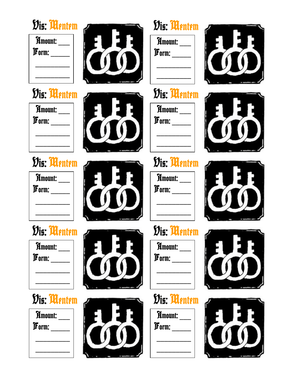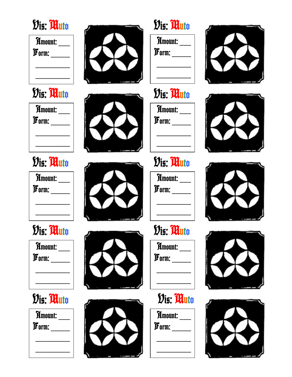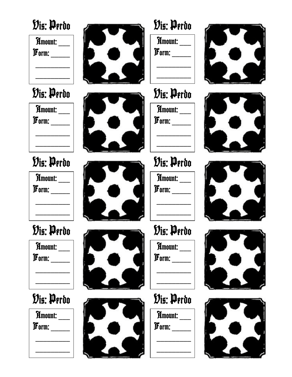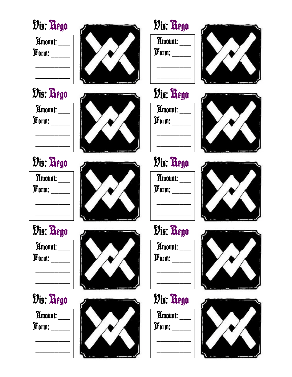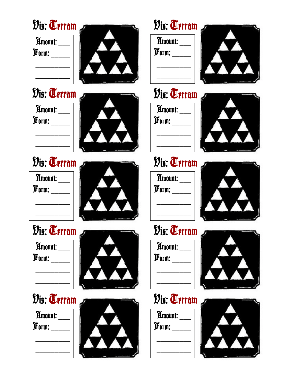